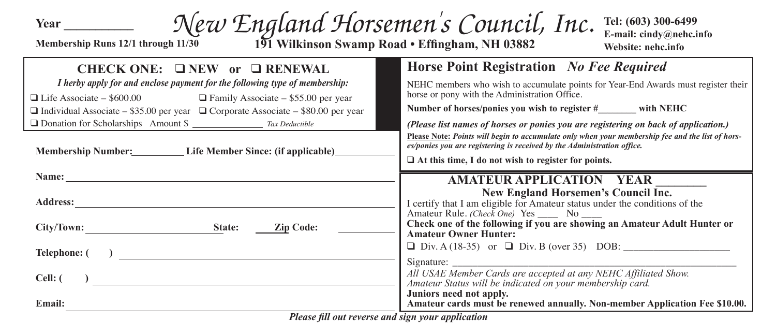**Year \_\_\_\_\_\_\_\_\_\_\_**

## **Membership Runs 12/1 through 11/30** *New England Horsemen's Council, Inc.*

**191 Wilkinson Swamp Road • Effingham, NH 03882**

**Tel: (603) 300-6499 E-mail: cindy@nehc.info Website: nehc.info**

| CHECK ONE: $\Box$ NEW or $\Box$ RENEWAL                                                                                                                                                                                        | Horse Point Registration No Fee Required                                                                                                                                                                                                  |  |  |
|--------------------------------------------------------------------------------------------------------------------------------------------------------------------------------------------------------------------------------|-------------------------------------------------------------------------------------------------------------------------------------------------------------------------------------------------------------------------------------------|--|--|
| I herby apply for and enclose payment for the following type of membership:                                                                                                                                                    | NEHC members who wish to accumulate points for Year-End Awards must register their<br>horse or pony with the Administration Office.                                                                                                       |  |  |
| $\Box$ Life Associate – \$600.00 $\Box$ Family Associate – \$55.00 per year<br>$\Box$ Individual Associate – \$35.00 per year $\Box$ Corporate Associate – \$80.00 per year                                                    | Number of horses/ponies you wish to register $\#$ with NEHC                                                                                                                                                                               |  |  |
| □ Donation for Scholarships Amount \$ _______________ Tax Deductible                                                                                                                                                           | (Please list names of horses or ponies you are registering on back of application.)                                                                                                                                                       |  |  |
| Membership Number: Life Member Since: (if applicable)                                                                                                                                                                          | Please Note: Points will begin to accumulate only when your membership fee and the list of hors-<br>es/ponies you are registering is received by the Administration office.<br>$\Box$ At this time, I do not wish to register for points. |  |  |
| Name: Name and the state of the state of the state of the state of the state of the state of the state of the state of the state of the state of the state of the state of the state of the state of the state of the state of | AMATEUR APPLICATION YEAR                                                                                                                                                                                                                  |  |  |
| <b>Address:</b>                                                                                                                                                                                                                | New England Horsemen's Council Inc.<br>I certify that I am eligible for Amateur status under the conditions of the                                                                                                                        |  |  |
| <b>Zip Code:</b><br>City/Town:<br>State:                                                                                                                                                                                       | Amateur Rule. (Check One) Yes ______ No _____<br>Check one of the following if you are showing an Amateur Adult Hunter or<br><b>Amateur Owner Hunter:</b>                                                                                 |  |  |
| Telephone: (                                                                                                                                                                                                                   | $\Box$ Div. A (18-35) or $\Box$ Div. B (over 35) DOB:                                                                                                                                                                                     |  |  |
| Cell: (                                                                                                                                                                                                                        | All USAE Member Cards are accepted at any NEHC Affiliated Show.<br>Amateur Status will be indicated on your membership card.<br>Juniors need not apply.                                                                                   |  |  |
| <b>Email:</b>                                                                                                                                                                                                                  | Amateur cards must be renewed annually. Non-member Application Fee \$10.00.                                                                                                                                                               |  |  |
| Blagge fill out nousing and gian your application                                                                                                                                                                              |                                                                                                                                                                                                                                           |  |  |

*Please fill out reverse and sign your application*